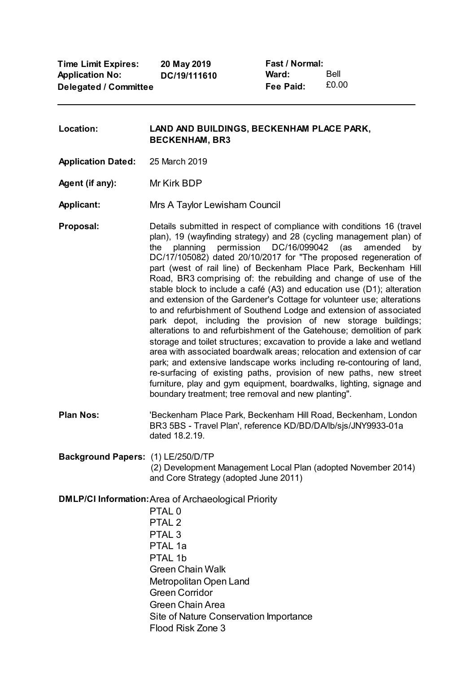**Time Limit Expires: Application No: Delegated / Committee 20 May 2019 DC/19/111610**

**Fast / Normal: Ward: Fee Paid:** Bell £0.00

**Location: LAND AND BUILDINGS, BECKENHAM PLACE PARK, BECKENHAM, BR3**

**Application Dated:** 25 March 2019

**Agent (if any):** Mr Kirk BDP

**Applicant:** Mrs A Taylor Lewisham Council

**Proposal:** Details submitted in respect of compliance with conditions 16 (travel plan), 19 (wayfinding strategy) and 28 (cycling management plan) of the planning permission DC/16/099042 (as amended by DC/17/105082) dated 20/10/2017 for "The proposed regeneration of part (west of rail line) of Beckenham Place Park, Beckenham Hill Road, BR3 comprising of: the rebuilding and change of use of the stable block to include a café (A3) and education use (D1); alteration and extension of the Gardener's Cottage for volunteer use; alterations to and refurbishment of Southend Lodge and extension of associated park depot, including the provision of new storage buildings; alterations to and refurbishment of the Gatehouse; demolition of park storage and toilet structures; excavation to provide a lake and wetland area with associated boardwalk areas; relocation and extension of car park; and extensive landscape works including re-contouring of land, re-surfacing of existing paths, provision of new paths, new street furniture, play and gym equipment, boardwalks, lighting, signage and boundary treatment; tree removal and new planting".

**Plan Nos:** 'Beckenham Place Park, Beckenham Hill Road, Beckenham, London BR3 5BS - Travel Plan', reference KD/BD/DA/lb/sjs/JNY9933-01a dated 18.2.19.

**Background Papers:** (1) LE/250/D/TP

(2) Development Management Local Plan (adopted November 2014) and Core Strategy (adopted June 2011)

**DMLP/CI Information:**Area of Archaeological Priority

PTAL 0 PTAI<sub>2</sub> PTAL 3 PTAL 1a PTAI 1h Green Chain Walk Metropolitan Open Land Green Corridor Green Chain Area Site of Nature Conservation Importance Flood Risk Zone 3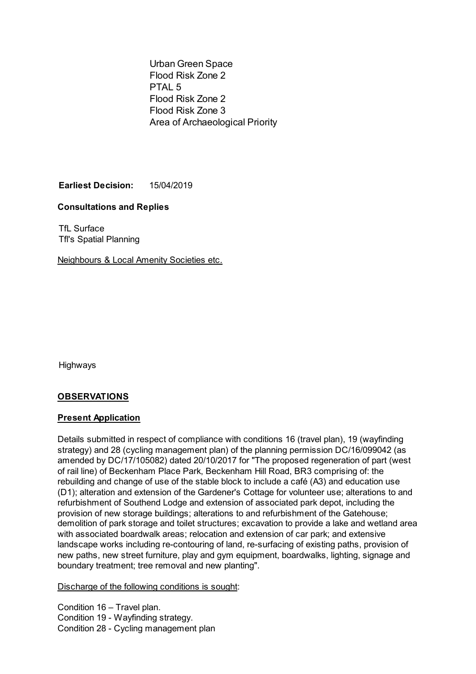Urban Green Space Flood Risk Zone 2 PTAI<sub>5</sub> Flood Risk Zone 2 Flood Risk Zone 3 Area of Archaeological Priority

**Earliest Decision:** 15/04/2019

# **Consultations and Replies**

TfL Surface Tfl's Spatial Planning

Neighbours & Local Amenity Societies etc.

Highways

# **OBSERVATIONS**

### **Present Application**

Details submitted in respect of compliance with conditions 16 (travel plan), 19 (wayfinding strategy) and 28 (cycling management plan) of the planning permission DC/16/099042 (as amended by DC/17/105082) dated 20/10/2017 for "The proposed regeneration of part (west of rail line) of Beckenham Place Park, Beckenham Hill Road, BR3 comprising of: the rebuilding and change of use of the stable block to include a café (A3) and education use (D1); alteration and extension of the Gardener's Cottage for volunteer use; alterations to and refurbishment of Southend Lodge and extension of associated park depot, including the provision of new storage buildings; alterations to and refurbishment of the Gatehouse; demolition of park storage and toilet structures; excavation to provide a lake and wetland area with associated boardwalk areas; relocation and extension of car park; and extensive landscape works including re-contouring of land, re-surfacing of existing paths, provision of new paths, new street furniture, play and gym equipment, boardwalks, lighting, signage and boundary treatment; tree removal and new planting".

Discharge of the following conditions is sought:

Condition 16 – Travel plan. Condition 19 - Wayfinding strategy. Condition 28 - Cycling management plan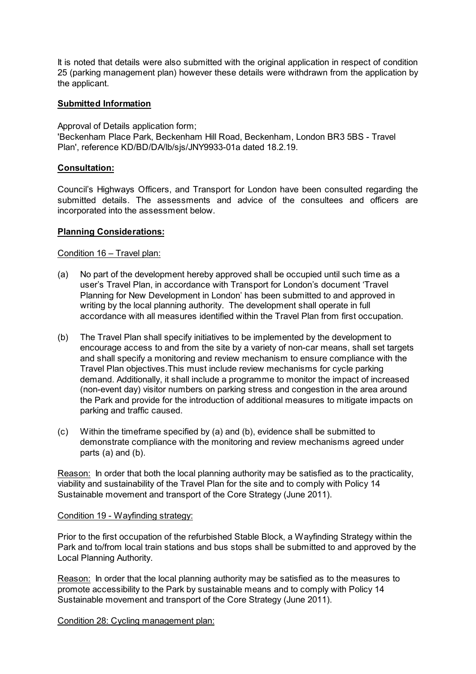It is noted that details were also submitted with the original application in respect of condition 25 (parking management plan) however these details were withdrawn from the application by the applicant.

## **Submitted Information**

Approval of Details application form;

'Beckenham Place Park, Beckenham Hill Road, Beckenham, London BR3 5BS - Travel Plan', reference KD/BD/DA/lb/sjs/JNY9933-01a dated 18.2.19.

## **Consultation:**

Council's Highways Officers, and Transport for London have been consulted regarding the submitted details. The assessments and advice of the consultees and officers are incorporated into the assessment below.

### **Planning Considerations:**

### Condition 16 – Travel plan:

- (a) No part of the development hereby approved shall be occupied until such time as a user's Travel Plan, in accordance with Transport for London's document 'Travel Planning for New Development in London' has been submitted to and approved in writing by the local planning authority. The development shall operate in full accordance with all measures identified within the Travel Plan from first occupation.
- (b) The Travel Plan shall specify initiatives to be implemented by the development to encourage access to and from the site by a variety of non-car means, shall set targets and shall specify a monitoring and review mechanism to ensure compliance with the Travel Plan objectives.This must include review mechanisms for cycle parking demand. Additionally, it shall include a programme to monitor the impact of increased (non-event day) visitor numbers on parking stress and congestion in the area around the Park and provide for the introduction of additional measures to mitigate impacts on parking and traffic caused.
- (c) Within the timeframe specified by (a) and (b), evidence shall be submitted to demonstrate compliance with the monitoring and review mechanisms agreed under parts (a) and (b).

Reason: In order that both the local planning authority may be satisfied as to the practicality, viability and sustainability of the Travel Plan for the site and to comply with Policy 14 Sustainable movement and transport of the Core Strategy (June 2011).

### Condition 19 - Wayfinding strategy:

Prior to the first occupation of the refurbished Stable Block, a Wayfinding Strategy within the Park and to/from local train stations and bus stops shall be submitted to and approved by the Local Planning Authority.

Reason: In order that the local planning authority may be satisfied as to the measures to promote accessibility to the Park by sustainable means and to comply with Policy 14 Sustainable movement and transport of the Core Strategy (June 2011).

Condition 28: Cycling management plan: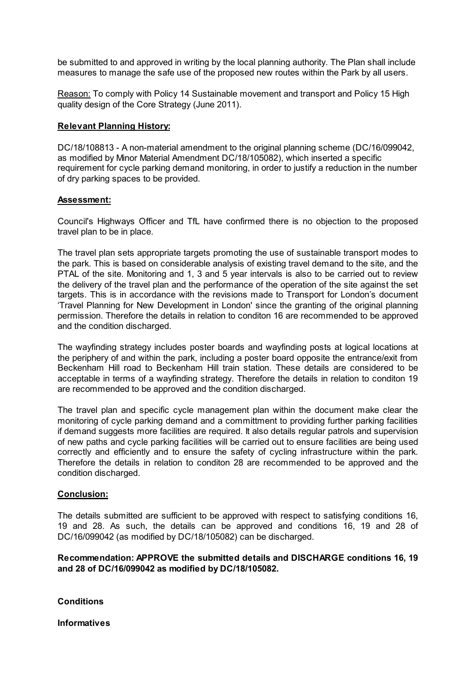be submitted to and approved in writing by the local planning authority. The Plan shall include measures to manage the safe use of the proposed new routes within the Park by all users.

Reason: To comply with Policy 14 Sustainable movement and transport and Policy 15 High quality design of the Core Strategy (June 2011).

#### **Relevant Planning History:**

DC/18/108813 - A non-material amendment to the original planning scheme (DC/16/099042, as modified by Minor Material Amendment DC/18/105082), which inserted a specific requirement for cycle parking demand monitoring, in order to justify a reduction in the number of dry parking spaces to be provided.

#### **Assessment:**

Council's Highways Officer and TfL have confirmed there is no objection to the proposed travel plan to be in place.

The travel plan sets appropriate targets promoting the use of sustainable transport modes to the park. This is based on considerable analysis of existing travel demand to the site, and the PTAL of the site. Monitoring and 1, 3 and 5 year intervals is also to be carried out to review the delivery of the travel plan and the performance of the operation of the site against the set targets. This is in accordance with the revisions made to Transport for London's document 'Travel Planning for New Development in London' since the granting of the original planning permission. Therefore the details in relation to conditon 16 are recommended to be approved and the condition discharged.

The wayfinding strategy includes poster boards and wayfinding posts at logical locations at the periphery of and within the park, including a poster board opposite the entrance/exit from Beckenham Hill road to Beckenham Hill train station. These details are considered to be acceptable in terms of a wayfinding strategy. Therefore the details in relation to conditon 19 are recommended to be approved and the condition discharged.

The travel plan and specific cycle management plan within the document make clear the monitoring of cycle parking demand and a committment to providing further parking facilities if demand suggests more facilities are required. It also details regular patrols and supervision of new paths and cycle parking facilities will be carried out to ensure facilities are being used correctly and efficiently and to ensure the safety of cycling infrastructure within the park. Therefore the details in relation to conditon 28 are recommended to be approved and the condition discharged.

### **Conclusion:**

The details submitted are sufficient to be approved with respect to satisfying conditions 16, 19 and 28. As such, the details can be approved and conditions 16, 19 and 28 of DC/16/099042 (as modified by DC/18/105082) can be discharged.

**Recommendation: APPROVE the submitted details and DISCHARGE conditions 16, 19 and 28 of DC/16/099042 as modified by DC/18/105082.**

**Conditions**

**Informatives**